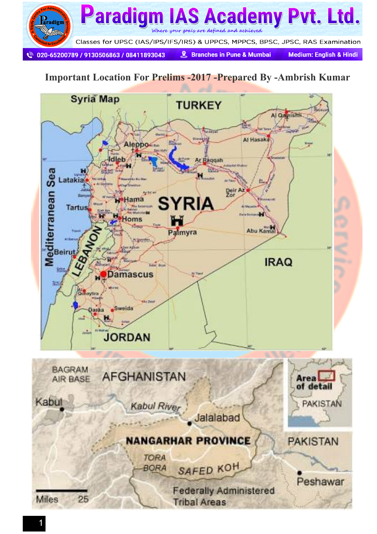

#### **Important Location For Prelims -2017 -Prepared By -Ambrish Kumar**

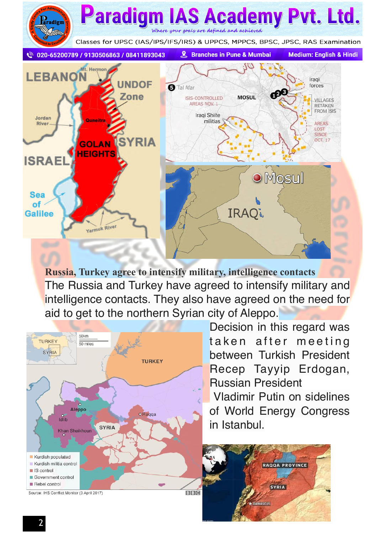

**Russia, Turkey agree to intensify military, intelligence contacts** The Russia and Turkey have agreed to intensify military and intelligence contacts. They also have agreed on the need for aid to get to the northern Syrian city of Aleppo.



Decision in this regard was taken after meeting between Turkish President Recep Tayyip Erdogan, Russian President

 Vladimir Putin on sidelines of World Energy Congress in Istanbul.

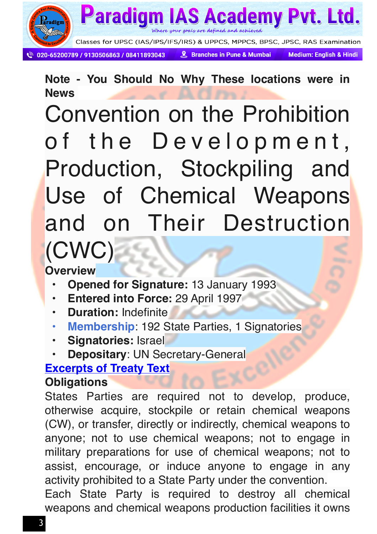

Where your goals are defined and achieved

020-65200789 / 9130506863 / 08411893043

Paradigm

& Branches in Pune & Mumbai

**Medium: English & Hindi** 

**S Academy Pvt. Ltd.** 

**Note - You Should No Why These locations were in News**

Convention on the Prohibition of the Development, Production, Stockpiling and Use of Chemical Weapons and on Their Destruction (CWC)

**Overview**

- **Opened for Signature:** 13 January 1993
- **Entered into Force:** 29 April 1997
- **Duration:** Indefinite
- **• [Membership](http://www.nti.org/media/pdfs/apmcbw_12.pdf?_=1432676775)**: 192 State Parties, 1 Signatories
- **Signatories:** Israel
- **Depositary**: UN Secretary-General

#### **[Excerpts of Treaty Text](http://www.opcw.org/fileadmin/OPCW/publications/fact_sheets/02.pdf)**

#### **Obligations**

States Parties are required not to develop, produce, otherwise acquire, stockpile or retain chemical weapons (CW), or transfer, directly or indirectly, chemical weapons to anyone; not to use chemical weapons; not to engage in military preparations for use of chemical weapons; not to assist, encourage, or induce anyone to engage in any activity prohibited to a State Party under the convention.

Each State Party is required to destroy all chemical weapons and chemical weapons production facilities it owns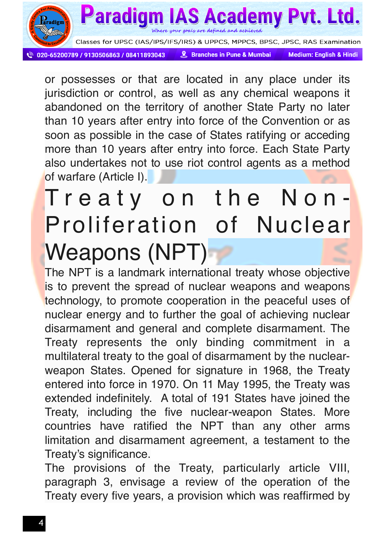

or possesses or that are located in any place under its jurisdiction or control, as well as any chemical weapons it abandoned on the territory of another State Party no later than 10 years after entry into force of the Convention or as soon as possible in the case of States ratifying or acceding more than 10 years after entry into force. Each State Party also undertakes not to use riot control agents as a method of warfare (Article I).

### Treaty on the Non-Proliferation of Nuclear Weapons (NPT)

The NPT is a landmark international treaty whose objective is to prevent the spread of nuclear weapons and weapons technology, to promote cooperation in the peaceful uses of nuclear energy and to further the goal of achieving nuclear disarmament and general and complete disarmament. The Treaty represents the only binding commitment in a multilateral treaty to the goal of disarmament by the nuclearweapon States. Opened for signature in 1968, the Treaty entered into force in 1970. On 11 May 1995, the Treaty was extended indefinitely. A total of 191 States have joined the Treaty, including the five nuclear-weapon States. More countries have ratified the NPT than any other arms limitation and disarmament agreement, a testament to the Treaty's significance.

The provisions of the Treaty, particularly article VIII, paragraph 3, envisage a review of the operation of the Treaty every five years, a provision which was reaffirmed by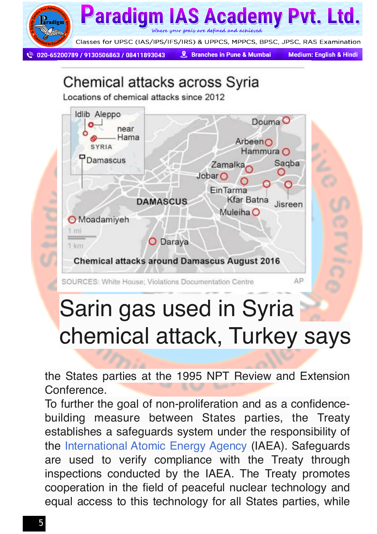

### Chemical attacks across Syria

Locations of chemical attacks since 2012



### Sarin gas used in Syria chemical attack, Turkey says

the States parties at the 1995 NPT Review and Extension Conference.

To further the goal of non-proliferation and as a confidencebuilding measure between States parties, the Treaty establishes a safeguards system under the responsibility of the [International Atomic Energy Agency](http://www.iaea.org/index.html) (IAEA). Safeguards are used to verify compliance with the Treaty through inspections conducted by the IAEA. The Treaty promotes cooperation in the field of peaceful nuclear technology and equal access to this technology for all States parties, while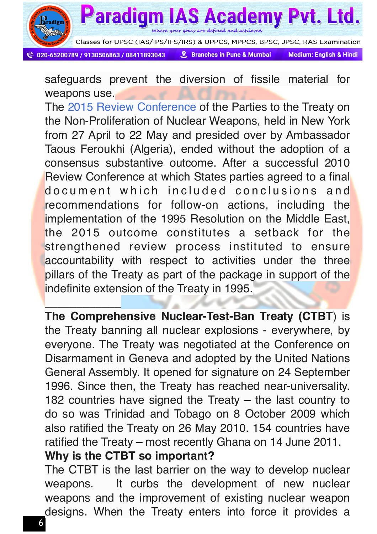

Where your goals are defined and achieved

Classes for UPSC (IAS/IPS/IFS/IRS) & UPPCS, MPPCS, BPSC, JPSC, RAS Examination

020-65200789 / 9130506863 / 08411893043

**Paradigm** 

\_\_\_\_\_\_\_\_\_\_\_\_

& Branches in Pune & Mumbai

**IAS Academy Pyt. Ltd.** 

**Medium: English & Hindi** 

safeguards prevent the diversion of fissile material for weapons use.

The [2015 Review Conference](http://www.un.org/en/conf/npt/2015/) of the Parties to the Treaty on the Non-Proliferation of Nuclear Weapons, held in New York from 27 April to 22 May and presided over by Ambassador Taous Feroukhi (Algeria), ended without the adoption of a consensus substantive outcome. After a successful 2010 Review Conference at which States parties agreed to a final do cument which included conclusions and recommendations for follow-on actions, including the implementation of the 1995 Resolution on the Middle East, the 2015 outcome constitutes a setback for the strengthened review process instituted to ensure accountability with respect to activities under the three pillars of the Treaty as part of the package in support of the indefinite extension of the Treaty in 1995.

**The Comprehensive Nuclear-Test-Ban Treaty (CTBT**) is the Treaty banning all nuclear explosions - everywhere, by everyone. The Treaty was negotiated at the Conference on Disarmament in Geneva and adopted by the United Nations General Assembly. It opened for signature on 24 September 1996. Since then, the Treaty has reached near-universality. 182 countries have signed the Treaty – the last country to do so was Trinidad and Tobago on 8 October 2009 which also ratified the Treaty on 26 May 2010. 154 countries have ratified the Treaty – most recently Ghana on 14 June 2011.

#### **Why is the CTBT so important?**

The CTBT is the last barrier on the way to develop nuclear weapons. It curbs the development of new nuclear weapons and the improvement of existing nuclear weapon designs. When the Treaty enters into force it provides a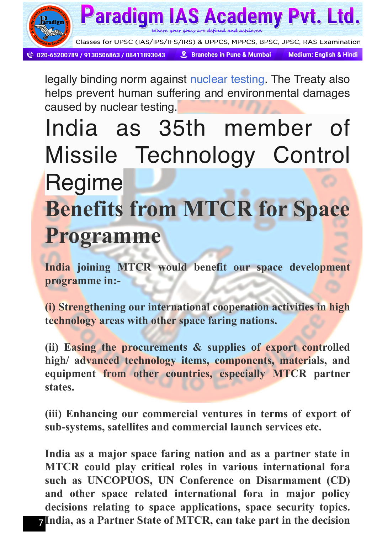

legally binding norm against [nuclear testing.](https://www.ctbto.org/nuclear-testing/) The Treaty also helps prevent human suffering and environmental damages caused by nuclear testing.

### India as 35th member of Missile Technology Control Regime **Benefits from MTCR for Space Programme**

**India joining MTCR would benefit our space development programme in:-** 

**(i) Strengthening our international cooperation activities in high technology areas with other space faring nations.** 

**(ii) Easing the procurements & supplies of export controlled high/ advanced technology items, components, materials, and equipment from other countries, especially MTCR partner states.** 

**(iii) Enhancing our commercial ventures in terms of export of sub-systems, satellites and commercial launch services etc.** 

7 **India, as a Partner State of MTCR, can take part in the decision India as a major space faring nation and as a partner state in MTCR could play critical roles in various international fora such as UNCOPUOS, UN Conference on Disarmament (CD) and other space related international fora in major policy decisions relating to space applications, space security topics.**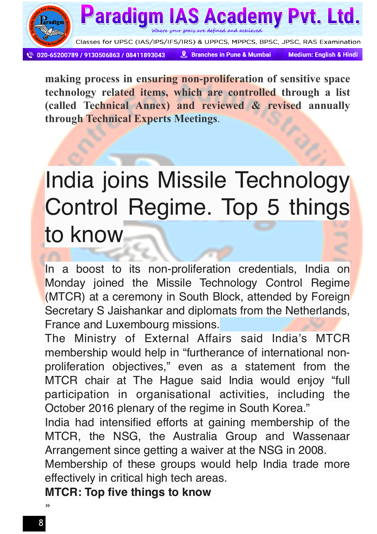

**making process in ensuring non-proliferation of sensitive space technology related items, which are controlled through a list (called Technical Annex) and reviewed & revised annually through Technical Experts Meetings**.

### India joins Missile Technology Control Regime. Top 5 things to know

In a boost to its non-proliferation credentials, India on Monday joined the Missile Technology Control Regime (MTCR) at a ceremony in South Block, attended by Foreign Secretary S Jaishankar and diplomats from the Netherlands, France and Luxembourg missions.

The Ministry of External Affairs said India's MTCR membership would help in "furtherance of international nonproliferation objectives," even as a statement from the MTCR chair at The Hague said India would enjoy "full participation in organisational activities, including the October 2016 plenary of the regime in South Korea."

India had intensified efforts at gaining membership of the MTCR, the NSG, the Australia Group and Wassenaar Arrangement since getting a waiver at the NSG in 2008.

Membership of these groups would help India trade more effectively in critical high tech areas.

**MTCR: Top five things to know**

»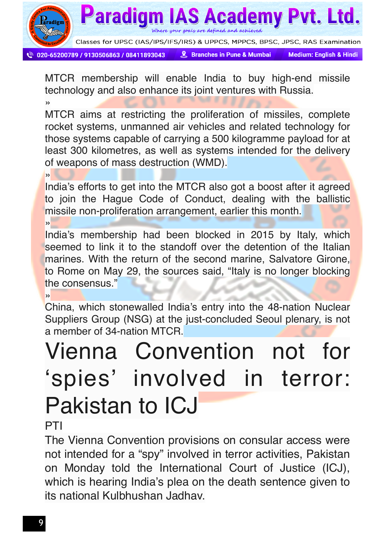

Where your goals are defined and achieved

020-65200789 / 9130506863 / 08411893043

**& Branches in Pune & Mumbai** 

**Paradigm IAS Academy Pyt. Ltd.** 

**Medium: English & Hindi** 

MTCR membership will enable India to buy high-end missile technology and also enhance its joint ventures with Russia.

»

MTCR aims at restricting the proliferation of missiles, complete rocket systems, unmanned air vehicles and related technology for those systems capable of carrying a 500 kilogramme payload for at least 300 kilometres, as well as systems intended for the delivery of weapons of mass destruction (WMD).

 $\rightarrow$ 

India's efforts to get into the MTCR also got a boost after it agreed to join the Hague Code of Conduct, dealing with the ballistic missile non-proliferation arrangement, earlier this month.

»

India's membership had been blocked in 2015 by Italy, which seemed to link it to the standoff over the detention of the Italian marines. With the return of the second marine, Salvatore Girone, to Rome on May 29, the sources said, "Italy is no longer blocking the consensus."

 $\overline{\mathbf{v}}$ 

China, which stonewalled India's entry into the 48-nation Nuclear Suppliers Group (NSG) at the just-concluded Seoul plenary, is not a member of 34-nation MTCR.

## Vienna Convention not for 'spies' involved in terror: Pakistan to ICJ

**PTI** 

The Vienna Convention provisions on consular access were not intended for a "spy" involved in terror activities, Pakistan on Monday told the International Court of Justice (ICJ), which is hearing India's plea on the death sentence given to its national Kulbhushan Jadhav.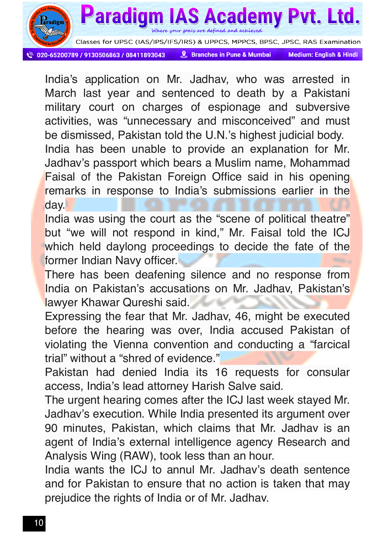

Where your goals are defined and achieved

020-65200789 / 9130506863 / 08411893043

Paradigm

& Branches in Pune & Mumbai

**AS Academy Pyt. Ltd.** 

**Medium: English & Hindi** 

India's application on Mr. Jadhav, who was arrested in March last year and sentenced to death by a Pakistani military court on charges of espionage and subversive activities, was "unnecessary and misconceived" and must be dismissed, Pakistan told the U.N.'s highest judicial body. India has been unable to provide an explanation for Mr. Jadhav's passport which bears a Muslim name, Mohammad Faisal of the Pakistan Foreign Office said in his opening remarks in response to India's submissions earlier in the day.

India was using the court as the "scene of political theatre" but "we will not respond in kind," Mr. Faisal told the ICJ which held daylong proceedings to decide the fate of the former Indian Navy officer.

There has been deafening silence and no response from India on Pakistan's accusations on Mr. Jadhav, Pakistan's lawyer Khawar Qureshi said.

Expressing the fear that Mr. Jadhav, 46, might be executed before the hearing was over, India accused Pakistan of violating the Vienna convention and conducting a "farcical trial" without a "shred of evidence."

Pakistan had denied India its 16 requests for consular access, India's lead attorney Harish Salve said.

The urgent hearing comes after the ICJ last week stayed Mr. Jadhav's execution. While India presented its argument over 90 minutes, Pakistan, which claims that Mr. Jadhav is an agent of India's external intelligence agency Research and Analysis Wing (RAW), took less than an hour.

India wants the ICJ to annul Mr. Jadhav's death sentence and for Pakistan to ensure that no action is taken that may prejudice the rights of India or of Mr. Jadhav.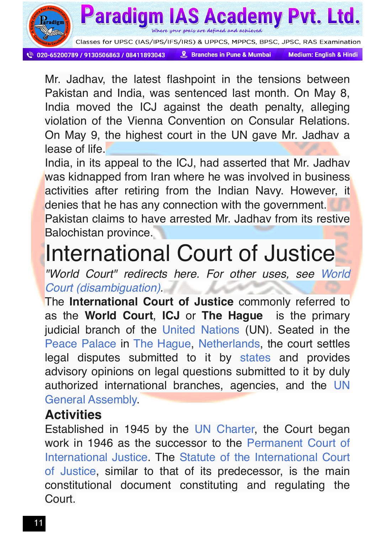

Where your goals are defined and achieved

**S ACad** 

020-65200789 / 9130506863 / 08411893043

Paradigm

& Branches in Pune & Mumbai

**Medium: English & Hindi** 

emy Pyt. Ltd.

Mr. Jadhav, the latest flashpoint in the tensions between Pakistan and India, was sentenced last month. On May 8, India moved the ICJ against the death penalty, alleging violation of the Vienna Convention on Consular Relations. On May 9, the highest court in the UN gave Mr. Jadhav a lease of life.

India, in its appeal to the ICJ, had asserted that Mr. Jadhav was kidnapped from Iran where he was involved in business activities after retiring from the Indian Navy. However, it denies that he has any connection with the government. Pakistan claims to have arrested Mr. Jadhav from its restive Balochistan province.

### International Court of Justice

*"World Court" redirects here. For other uses, see [World](https://en.m.wikipedia.org/wiki/World_Court_(disambiguation)) [Court \(disambiguation\)](https://en.m.wikipedia.org/wiki/World_Court_(disambiguation)).*

The **International Court of Justice** commonly referred to as the **World Court**, **ICJ** or **The Hague** is the primary judicial branch of the [United Nations](https://en.m.wikipedia.org/wiki/United_Nations) (UN). Seated in the [Peace Palace](https://en.m.wikipedia.org/wiki/Peace_Palace) in [The Hague,](https://en.m.wikipedia.org/wiki/The_Hague) [Netherlands](https://en.m.wikipedia.org/wiki/Netherlands), the court settles legal disputes submitted to it by [states](https://en.m.wikipedia.org/wiki/Sovereign_state) and provides advisory opinions on legal questions submitted to it by duly authorized international branches, agencies, and the [UN](https://en.m.wikipedia.org/wiki/UN_General_Assembly) [General Assembly.](https://en.m.wikipedia.org/wiki/UN_General_Assembly)

#### **Activities**

Established in 1945 by the [UN Charter,](https://en.m.wikipedia.org/wiki/United_Nations_Charter) the Court began work in 1946 as the successor to the [Permanent Court of](https://en.m.wikipedia.org/wiki/Permanent_Court_of_International_Justice) [International Justice](https://en.m.wikipedia.org/wiki/Permanent_Court_of_International_Justice). The [Statute of the International Court](https://en.m.wikipedia.org/wiki/Statute_of_the_International_Court_of_Justice) [of Justice](https://en.m.wikipedia.org/wiki/Statute_of_the_International_Court_of_Justice), similar to that of its predecessor, is the main constitutional document constituting and regulating the Court.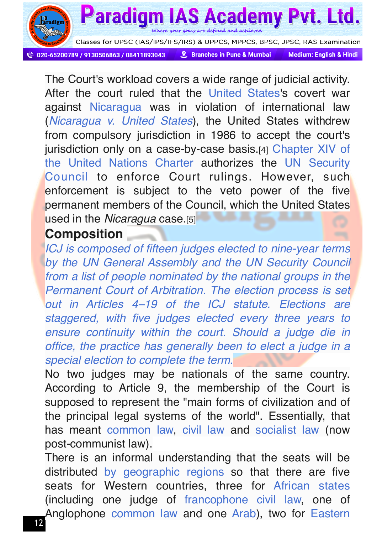

Where your goals are defined and achieved

**Paradigm IAS Academy Pyt. Ltd.** 

020-65200789 / 9130506863 / 08411893043

& Branches in Pune & Mumbai

**Medium: English & Hindi** 

The Court's workload covers a wide range of judicial activity. After the court ruled that the [United States](https://en.m.wikipedia.org/wiki/United_States)'s covert war against [Nicaragua](https://en.m.wikipedia.org/wiki/Nicaragua) was in violation of international law (*[Nicaragua v. United States](https://en.m.wikipedia.org/wiki/Nicaragua_v._United_States)*), the United States withdrew from compulsory jurisdiction in 1986 to accept the court's jurisdiction only on a case-by-case basis.[4] [Chapter XIV of](https://en.m.wikipedia.org/wiki/Chapter_XIV_of_the_United_Nations_Charter) [the United Nations Charter](https://en.m.wikipedia.org/wiki/Chapter_XIV_of_the_United_Nations_Charter) authorizes the [UN Security](https://en.m.wikipedia.org/wiki/United_Nations_Security_Council) [Council](https://en.m.wikipedia.org/wiki/United_Nations_Security_Council) to enforce Court rulings. However, such enforcement is subject to the veto power of the five permanent members of the Council, which the United States used in the *Nicaragua* case.[5]

#### **Composition**

*ICJ is composed of fifteen judges elected to nine-year terms by the [UN General Assembly](https://en.m.wikipedia.org/wiki/United_Nations_General_Assembly) and the [UN Security Council](https://en.m.wikipedia.org/wiki/United_Nations_Security_Council) from a list of people nominated by the national groups in the [Permanent Court of Arbitration](https://en.m.wikipedia.org/wiki/Permanent_Court_of_Arbitration). The election process is set out in Articles 4–19 of the ICJ statute. Elections are staggered, with five judges elected every three years to ensure continuity within the court. Should a judge die in office, the practice has generally been to elect a judge in a special election to complete the term.*

No two judges may be nationals of the same country. According to Article 9, the membership of the Court is supposed to represent the "main forms of civilization and of the principal legal systems of the world". Essentially, that has meant [common law,](https://en.m.wikipedia.org/wiki/Common_law) [civil law](https://en.m.wikipedia.org/wiki/Civil_law_(legal_system)) and [socialist law](https://en.m.wikipedia.org/wiki/Socialist_law) (now post-communist law).

There is an informal understanding that the seats will be distributed [by geographic regions](https://en.m.wikipedia.org/wiki/United_Nations_Regional_Groups) so that there are five seats for Western countries, three for [African states](https://en.m.wikipedia.org/wiki/Africa) (including one judge of [francophone](https://en.m.wikipedia.org/wiki/Francophone) [civil law,](https://en.m.wikipedia.org/wiki/Civil_law_(legal_system)) one of Anglophone [common law](https://en.m.wikipedia.org/wiki/Common_law) and one [Arab](https://en.m.wikipedia.org/wiki/Arab)), two for [Eastern](https://en.m.wikipedia.org/wiki/Eastern_Europe)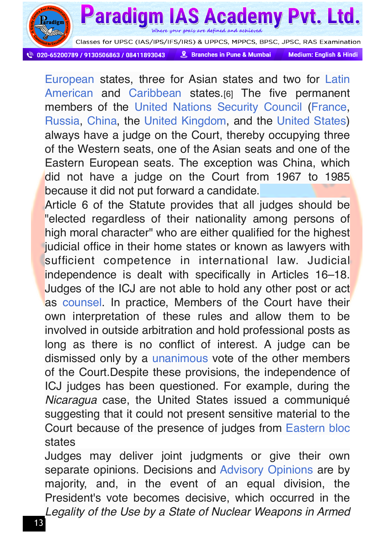

Where your goals are defined and achieved

Paradigm IAS Academy Pyt. Ltd.

020-65200789 / 9130506863 / 08411893043

**& Branches in Pune & Mumbai** 

**Medium: English & Hindi** 

[European](https://en.m.wikipedia.org/wiki/Eastern_Europe) states, three for Asian states and two for [Latin](https://en.m.wikipedia.org/wiki/Latin_America) [American](https://en.m.wikipedia.org/wiki/Latin_America) and [Caribbean](https://en.m.wikipedia.org/wiki/Caribbean) states.[6] The five permanent members of the [United Nations Security Council](https://en.m.wikipedia.org/wiki/United_Nations_Security_Council) [\(France](https://en.m.wikipedia.org/wiki/France), [Russia](https://en.m.wikipedia.org/wiki/Russia), [China](https://en.m.wikipedia.org/wiki/China), the [United Kingdom](https://en.m.wikipedia.org/wiki/United_Kingdom), and the [United States](https://en.m.wikipedia.org/wiki/United_States)) always have a judge on the Court, thereby occupying three of the Western seats, one of the Asian seats and one of the Eastern European seats. The exception was China, which did not have a judge on the Court from 1967 to 1985 because it did not put forward a candidate.

Article 6 of the Statute provides that all judges should be "elected regardless of their nationality among persons of high moral character" who are either qualified for the highest judicial office in their home states or known as lawyers with sufficient competence in international law. Judicial independence is dealt with specifically in Articles 16–18. Judges of the ICJ are not able to hold any other post or act as [counsel.](https://en.m.wikipedia.org/wiki/Counsel) In practice, Members of the Court have their own interpretation of these rules and allow them to be involved in outside arbitration and hold professional posts as long as there is no conflict of interest. A judge can be dismissed only by a [unanimous](https://en.m.wikipedia.org/wiki/Unanimity) vote of the other members of the Court.Despite these provisions, the independence of ICJ judges has been questioned. For example, during the *Nicaragua* case, the United States issued a communiqué suggesting that it could not present sensitive material to the Court because of the presence of judges from [Eastern bloc](https://en.m.wikipedia.org/wiki/Eastern_bloc) states

Judges may deliver joint judgments or give their own separate opinions. Decisions and [Advisory Opinions](https://en.m.wikipedia.org/wiki/Advisory_Opinion) are by majority, and, in the event of an equal division, the President's vote becomes decisive, which occurred in the *Legality of the Use by a State of Nuclear Weapons in Armed*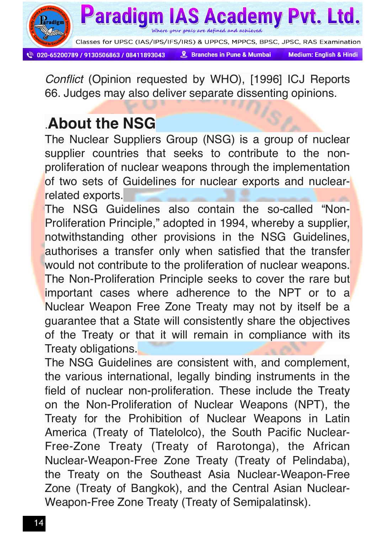

*Conflict* (Opinion requested by WHO), [1996] ICJ Reports 66. Judges may also deliver separate dissenting opinions.

### .**About the NSG**

The Nuclear Suppliers Group (NSG) is a group of nuclear supplier countries that seeks to contribute to the nonproliferation of nuclear weapons through the implementation of two sets of Guidelines for nuclear exports and nuclearrelated exports.

The NSG Guidelines also contain the so-called "Non-Proliferation Principle," adopted in 1994, whereby a supplier, notwithstanding other provisions in the NSG Guidelines, authorises a transfer only when satisfied that the transfer would not contribute to the proliferation of nuclear weapons. The Non-Proliferation Principle seeks to cover the rare but important cases where adherence to the NPT or to a Nuclear Weapon Free Zone Treaty may not by itself be a guarantee that a State will consistently share the objectives of the Treaty or that it will remain in compliance with its Treaty obligations.

The NSG Guidelines are consistent with, and complement, the various international, legally binding instruments in the field of nuclear non-proliferation. These include the Treaty on the Non-Proliferation of Nuclear Weapons (NPT), the Treaty for the Prohibition of Nuclear Weapons in Latin America (Treaty of Tlatelolco), the South Pacific Nuclear-Free-Zone Treaty (Treaty of Rarotonga), the African Nuclear-Weapon-Free Zone Treaty (Treaty of Pelindaba), the Treaty on the Southeast Asia Nuclear-Weapon-Free Zone (Treaty of Bangkok), and the Central Asian Nuclear-Weapon-Free Zone Treaty (Treaty of Semipalatinsk).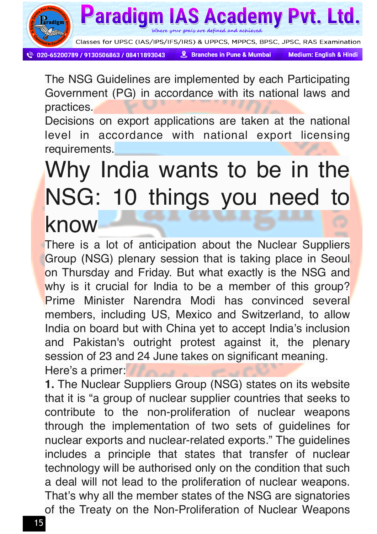

Paradigm **AS Academy Pyt. Ltd.** Where your goals are defined and achieved

020-65200789 / 9130506863 / 08411893043

& Branches in Pune & Mumbai

Classes for UPSC (IAS/IPS/IFS/IRS) & UPPCS, MPPCS, BPSC, JPSC, RAS Examination

**Medium: English & Hindi** 

The NSG Guidelines are implemented by each Participating Government (PG) in accordance with its national laws and practices.

Decisions on export applications are taken at the national level in accordance with national export licensing requirements.

# Why India wants to be in the NSG: 10 things you need to

### know

There is a lot of anticipation about the Nuclear Suppliers Group (NSG) plenary session that is taking place in Seoul on Thursday and Friday. But what exactly is the NSG and why is it crucial for India to be a member of this group? Prime Minister Narendra Modi has convinced several members, including US, Mexico and Switzerland, to allow India on board but with China yet to accept India's inclusion and Pakistan's outright protest against it, the plenary session of 23 and 24 June takes on significant meaning. Here's a primer:

**1.** The Nuclear Suppliers Group (NSG) states on its website that it is "a group of nuclear supplier countries that seeks to contribute to the non-proliferation of nuclear weapons through the implementation of two sets of guidelines for nuclear exports and nuclear-related exports." The guidelines includes a principle that states that transfer of nuclear technology will be authorised only on the condition that such a deal will not lead to the proliferation of nuclear weapons. That's why all the member states of the NSG are signatories of the Treaty on the Non-Proliferation of Nuclear Weapons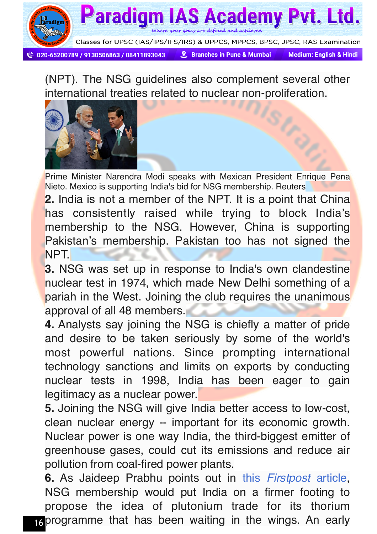

020-65200789 / 9130506863 / 08411893043

**& Branches in Pune & Mumbai** 

**Medium: English & Hindi** 

(NPT). The NSG guidelines also complement several other international treaties related to nuclear non-proliferation.



Prime Minister Narendra Modi speaks with Mexican President Enrique Pena Nieto. Mexico is supporting India's bid for NSG membership. Reuters

**2.** India is not a member of the NPT. It is a point that China has consistently raised while trying to block India's membership to the NSG. However, China is supporting Pakistan's membership. Pakistan too has not signed the NPT.

**3.** NSG was set up in response to India's own clandestine nuclear test in 1974, which made New Delhi something of a pariah in the West. Joining the club requires the unanimous approval of all 48 members.

**4.** Analysts say joining the NSG is chiefly a matter of pride and desire to be taken seriously by some of the world's most powerful nations. Since prompting international technology sanctions and limits on exports by conducting nuclear tests in 1998, India has been eager to gain legitimacy as a nuclear power.

**5.** Joining the NSG will give India better access to low-cost, clean nuclear energy -- important for its economic growth. Nuclear power is one way India, the third-biggest emitter of greenhouse gases, could cut its emissions and reduce air pollution from coal-fired power plants.

16 programme that has been waiting in the wings. An early **6.** As Jaideep Prabhu points out in this *[Firstpost](http://www.firstpost.com/world/ahead-of-nsg-plenary-in-seoul-india-has-little-reason-for-optimism-2851340.html)* article, NSG membership would put India on a firmer footing to propose the idea of plutonium trade for its thorium